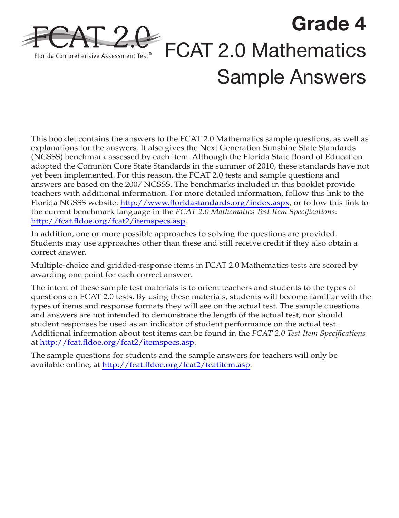

This booklet contains the answers to the FCAT 2.0 Mathematics sample questions, as well as explanations for the answers. It also gives the Next Generation Sunshine State Standards (NGSSS) benchmark assessed by each item. Although the Florida State Board of Education adopted the Common Core State Standards in the summer of 2010, these standards have not yet been implemented. For this reason, the FCAT 2.0 tests and sample questions and answers are based on the 2007 NGSSS. The benchmarks included in this booklet provide teachers with additional information. For more detailed information, follow this link to the Florida NGSSS website: <http://www.floridastandards.org/index.aspx>, or follow this link to the current benchmark language in the *FCAT 2.0 Mathematics Test Item Specifications*: <http://fcat.fldoe.org/fcat2/itemspecs.asp>.

In addition, one or more possible approaches to solving the questions are provided. Students may use approaches other than these and still receive credit if they also obtain a correct answer.

Multiple-choice and gridded-response items in FCAT 2.0 Mathematics tests are scored by awarding one point for each correct answer.

The intent of these sample test materials is to orient teachers and students to the types of questions on FCAT 2.0 tests. By using these materials, students will become familiar with the types of items and response formats they will see on the actual test. The sample questions and answers are not intended to demonstrate the length of the actual test, nor should student responses be used as an indicator of student performance on the actual test. Additional information about test items can be found in the *FCAT 2.0 Test Item Specifications*  at [http://fcat.fldoe.org/fcat2/itemspecs.asp.](http://fcat.fldoe.org/fcat2/itemspecs.asp)

The sample questions for students and the sample answers for teachers will only be available online, at <http://fcat.fldoe.org/fcat2/fcatitem.asp>.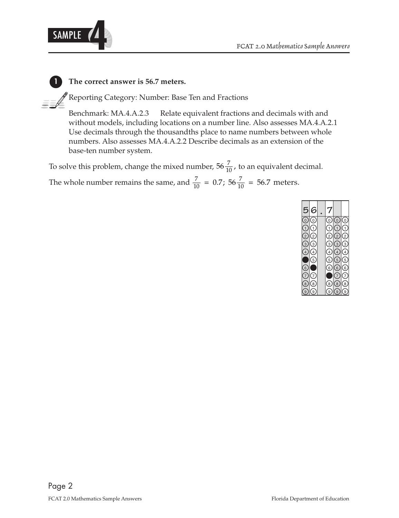

#### **1 The correct answer is 56.7 meters.**

Reporting Category: Number: Base Ten and Fractions

Benchmark: MA.4.A.2.3 Relate equivalent fractions and decimals with and without models, including locations on a number line. Also assesses MA.4.A.2.1 Use decimals through the thousandths place to name numbers between whole numbers. Also assesses MA.4.A.2.2 Describe decimals as an extension of the base-ten number system.

The whole number remains the same, and  $\frac{7}{10}$  = 0.7; 56 $\frac{7}{10}$  = 56.7 meters. To solve this problem, change the mixed number,  $56\frac{7}{10}$ , to an equivalent decimal.

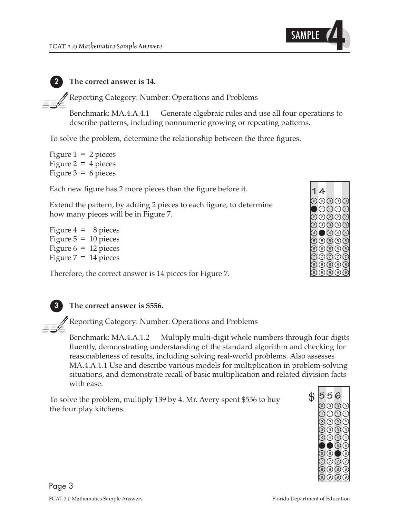

#### **2 The correct answer is 14.**

Reporting Category: Number: Operations and Problems

Benchmark: MA.4.A.4.1 Generate algebraic rules and use all four operations to describe patterns, including nonnumeric growing or repeating patterns.

To solve the problem, determine the relationship between the three figures.

Figure  $1 = 2$  pieces Figure 2 =  $4$  pieces Figure  $3 = 6$  pieces

Each new figure has 2 more pieces than the figure before it.

Extend the pattern, by adding 2 pieces to each figure, to determine how many pieces will be in Figure 7.

Figure  $4 = 8$  pieces Figure  $5 = 10$  pieces Figure  $6 = 12$  pieces Figure  $7 = 14$  pieces

Therefore, the correct answer is 14 pieces for Figure 7.



#### **3 The correct answer is \$556.**

Reporting Category: Number: Operations and Problems

Benchmark: MA.4.A.1.2 Multiply multi-digit whole numbers through four digits fluently, demonstrating understanding of the standard algorithm and checking for reasonableness of results, including solving real-world problems. Also assesses MA.4.A.1.1 Use and describe various models for multiplication in problem-solving situations, and demonstrate recall of basic multiplication and related division facts with ease.

To solve the problem, multiply 139 by 4. Mr. Avery spent \$556 to buy the four play kitchens.

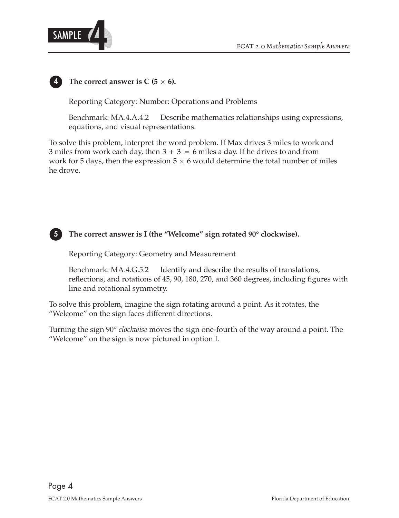

The correct answer is  $C$  (5  $\times$  6).

Reporting Category: Number: Operations and Problems

Benchmark: MA.4.A.4.2 Describe mathematics relationships using expressions, equations, and visual representations.

To solve this problem, interpret the word problem. If Max drives 3 miles to work and 3 miles from work each day, then  $3 + 3 = 6$  miles a day. If he drives to and from work for 5 days, then the expression  $5 \times 6$  would determine the total number of miles he drove.



**5 The correct answer is I (the "Welcome" sign rotated 90° clockwise).** 

Reporting Category: Geometry and Measurement

Benchmark: MA.4.G.5.2 Identify and describe the results of translations, reflections, and rotations of 45, 90, 180, 270, and 360 degrees, including figures with line and rotational symmetry.

To solve this problem, imagine the sign rotating around a point. As it rotates, the "Welcome" on the sign faces different directions.

Turning the sign 90° *clockwise* moves the sign one-fourth of the way around a point. The "Welcome" on the sign is now pictured in option I.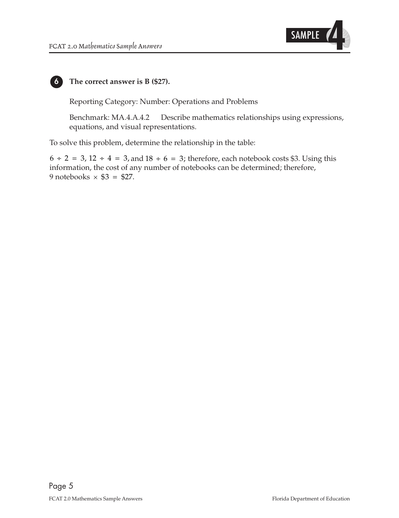



#### **6 The correct answer is B (\$27).**

Reporting Category: Number: Operations and Problems

Benchmark: MA.4.A.4.2 Describe mathematics relationships using expressions, equations, and visual representations.

To solve this problem, determine the relationship in the table:

 $6 \div 2 = 3$ ,  $12 \div 4 = 3$ , and  $18 \div 6 = 3$ ; therefore, each notebook costs \$3. Using this information, the cost of any number of notebooks can be determined; therefore, 9 notebooks  $\times$  \$3 = \$27.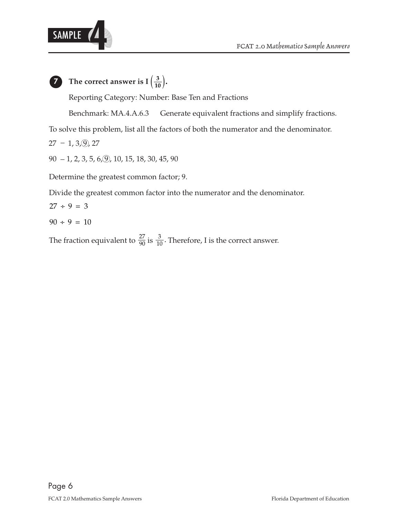



## **7** The correct answer is  $I\left(\frac{3}{10}\right)$ .

Reporting Category: Number: Base Ten and Fractions

Benchmark: MA.4.A.6.3 Generate equivalent fractions and simplify fractions.

To solve this problem, list all the factors of both the numerator and the denominator.

27 − 1, 3, <u>(</u>9), 27

 $90 - 1, 2, 3, 5, 6, 9, 10, 15, 18, 30, 45, 90$ 

Determine the greatest common factor; 9.

Divide the greatest common factor into the numerator and the denominator.

$$
27 \div 9 = 3
$$

 $90 \div 9 = 10$ 

27 The fraction equivalent to  $\frac{27}{90}$  is  $\frac{3}{10}$ . Therefore, I is the correct answer.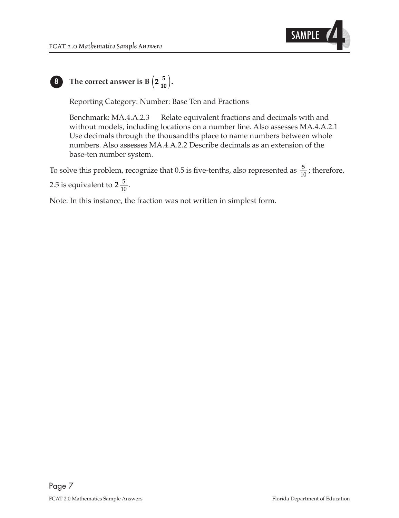

# **8** The correct answer is B $\left(2\frac{5}{10}\right)$ .

Reporting Category: Number: Base Ten and Fractions

Benchmark: MA.4.A.2.3 Relate equivalent fractions and decimals with and without models, including locations on a number line. Also assesses MA.4.A.2.1 Use decimals through the thousandths place to name numbers between whole numbers. Also assesses MA.4.A.2.2 Describe decimals as an extension of the base-ten number system.

To solve this problem, recognize that 0.5 is five-tenths, also represented as  $\frac{5}{10}$ ; therefore,

2.5 is equivalent to  $2\frac{5}{10}$ .

Note: In this instance, the fraction was not written in simplest form.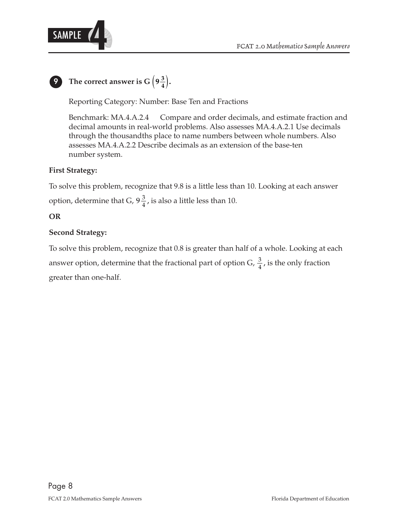

# **9** The correct answer is  $G\left(9\frac{3}{4}\right)$ .

Reporting Category: Number: Base Ten and Fractions

Benchmark: MA.4.A.2.4 Compare and order decimals, and estimate fraction and decimal amounts in real-world problems. Also assesses MA.4.A.2.1 Use decimals through the thousandths place to name numbers between whole numbers. Also assesses MA.4.A.2.2 Describe decimals as an extension of the base-ten number system.

#### **First Strategy:**

option, determine that G,  $9\frac{3}{4}$ , is also a little less than 10. To solve this problem, recognize that 9.8 is a little less than 10. Looking at each answer

### **OR**

#### **Second Strategy:**

answer option, determine that the fractional part of option G,  $\frac{3}{4}$ , is the only fraction To solve this problem, recognize that 0.8 is greater than half of a whole. Looking at each greater than one-half.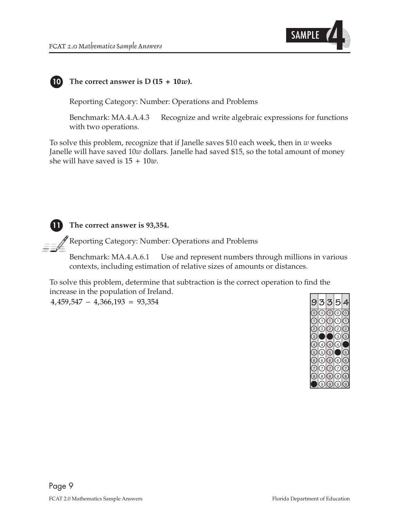



#### **10 The correct answer is D (15 + 10***w***).**

Reporting Category: Number: Operations and Problems

Benchmark: MA.4.A.4.3 Recognize and write algebraic expressions for functions with two operations.

To solve this problem, recognize that if Janelle saves \$10 each week, then in *w* weeks Janelle will have saved 10*w* dollars. Janelle had saved \$15, so the total amount of money she will have saved is 15 + 10*w*.



 $\mathscr P$  Reporting Category: Number: Operations and Problems

 Benchmark: MA.4.A.6.1 Use and represent numbers through millions in various contexts, including estimation of relative sizes of amounts or distances.

To solve this problem, determine that subtraction is the correct operation to find the increase in the population of Ireland.

 $4,459,547 - 4,366,193 = 93,354$ 

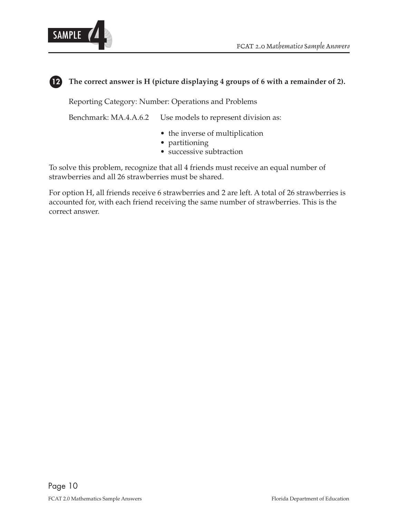

#### **12 The correct answer is H (picture displaying 4 groups of 6 with a remainder of 2).**

Reporting Category: Number: Operations and Problems

Benchmark: MA.4.A.6.2 Use models to represent division as:

- the inverse of multiplication
- partitioning
- successive subtraction

To solve this problem, recognize that all 4 friends must receive an equal number of strawberries and all 26 strawberries must be shared.

For option H, all friends receive 6 strawberries and 2 are left. A total of 26 strawberries is accounted for, with each friend receiving the same number of strawberries. This is the correct answer.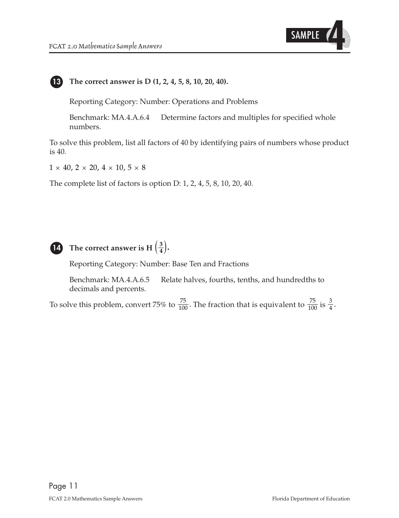

**13 The correct answer is D (1, 2, 4, 5, 8, 10, 20, 40).** 

Reporting Category: Number: Operations and Problems

Benchmark: MA.4.A.6.4 Determine factors and multiples for specified whole numbers.

To solve this problem, list all factors of 40 by identifying pairs of numbers whose product is 40.

 $1 \times 40$ ,  $2 \times 20$ ,  $4 \times 10$ ,  $5 \times 8$ 

The complete list of factors is option D: 1, 2, 4, 5, 8, 10, 20, 40.



## **14 The correct answer is H**  $\left(\frac{3}{4}\right)$ **.**

Reporting Category: Number: Base Ten and Fractions

Benchmark: MA.4.A.6.5 Relate halves, fourths, tenths, and hundredths to decimals and percents.

1 To solve this problem, convert 75% to  $\frac{75}{100}$ . The fraction that is equivalent to  $\frac{75}{100}$  is  $\frac{3}{4}$ .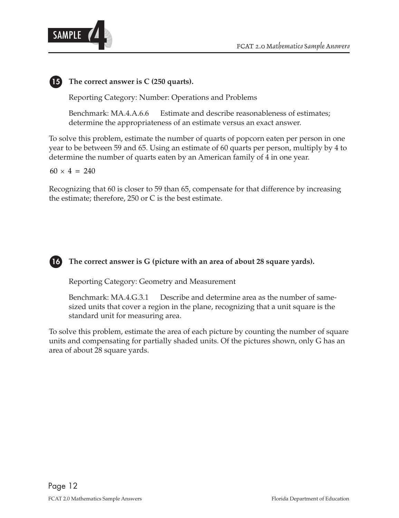

**15 The correct answer is C (250 quarts).** 

Reporting Category: Number: Operations and Problems

Benchmark: MA.4.A.6.6 Estimate and describe reasonableness of estimates; determine the appropriateness of an estimate versus an exact answer.

To solve this problem, estimate the number of quarts of popcorn eaten per person in one year to be between 59 and 65. Using an estimate of 60 quarts per person, multiply by 4 to determine the number of quarts eaten by an American family of 4 in one year.

 $60 \times 4 = 240$ 

Recognizing that 60 is closer to 59 than 65, compensate for that difference by increasing the estimate; therefore, 250 or C is the best estimate.



#### **16 The correct answer is G (picture with an area of about 28 square yards).**

Reporting Category: Geometry and Measurement

Benchmark: MA.4.G.3.1 Describe and determine area as the number of samesized units that cover a region in the plane, recognizing that a unit square is the standard unit for measuring area.

To solve this problem, estimate the area of each picture by counting the number of square units and compensating for partially shaded units. Of the pictures shown, only G has an area of about 28 square yards.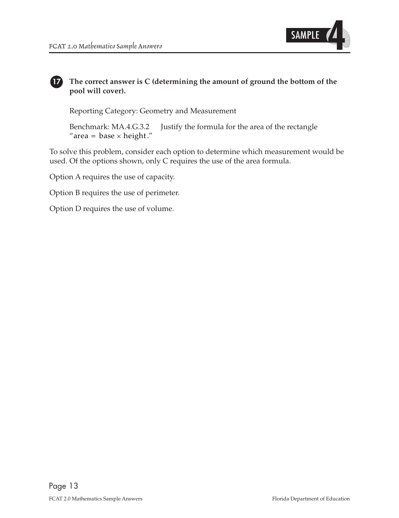

#### **17 The correct answer is C (determining the amount of ground the bottom of the pool will cover).**

Reporting Category: Geometry and Measurement

Benchmark: MA.4.G.3.2 Justify the formula for the area of the rectangle "area = base  $\times$  height."

To solve this problem, consider each option to determine which measurement would be used. Of the options shown, only C requires the use of the area formula.

Option A requires the use of capacity.

Option B requires the use of perimeter.

Option D requires the use of volume.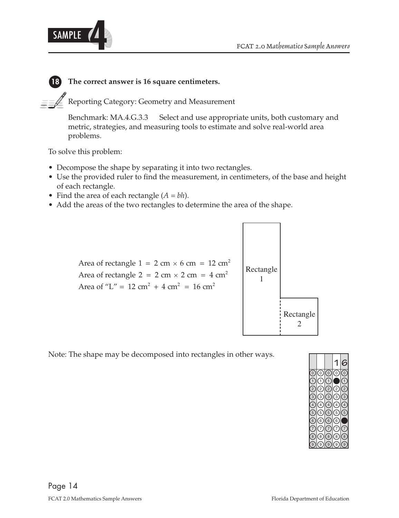

### **18 The correct answer is 16 square centimeters.**

Reporting Category: Geometry and Measurement

Benchmark: MA.4.G.3.3 Select and use appropriate units, both customary and metric, strategies, and measuring tools to estimate and solve real-world area problems.

To solve this problem:

- Decompose the shape by separating it into two rectangles.
- Use the provided ruler to find the measurement, in centimeters, of the base and height of each rectangle.
- Find the area of each rectangle  $(A = bh)$ .
- Add the areas of the two rectangles to determine the area of the shape.



Note: The shape may be decomposed into rectangles in other ways.

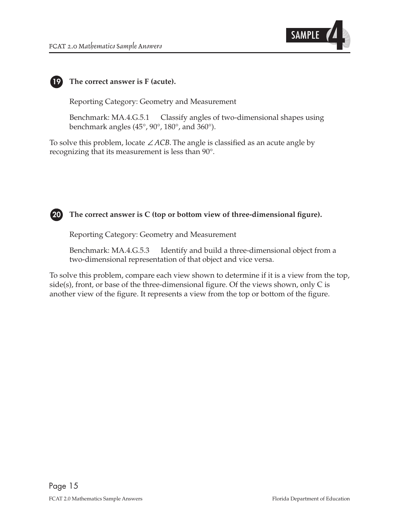



#### **19 The correct answer is F (acute).**

Reporting Category: Geometry and Measurement

Benchmark: MA.4.G.5.1 Classify angles of two-dimensional shapes using benchmark angles (45°, 90°, 180°, and 360°).

To solve this problem, locate ∠*ACB*. The angle is classified as an acute angle by recognizing that its measurement is less than 90°.



#### **20 The correct answer is C (top or bottom view of three-dimensional figure).**

Reporting Category: Geometry and Measurement

Benchmark: MA.4.G.5.3 Identify and build a three-dimensional object from a two-dimensional representation of that object and vice versa.

To solve this problem, compare each view shown to determine if it is a view from the top, side(s), front, or base of the three-dimensional figure. Of the views shown, only C is another view of the figure. It represents a view from the top or bottom of the figure.